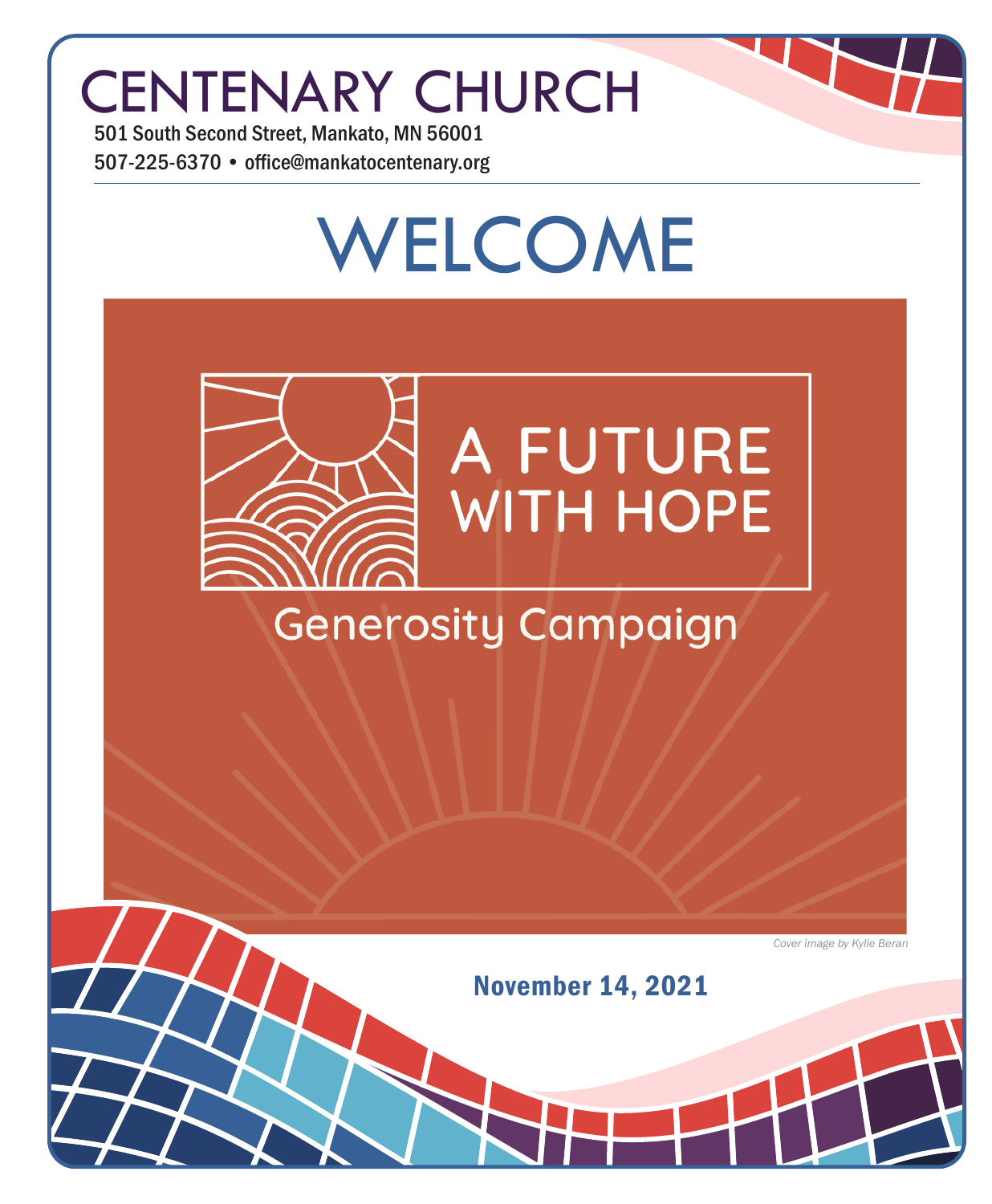## CENTENARY CHURCH

501 South Second Street, Mankato, MN 56001 507-225-6370 • office@mankatocentenary.org

# WELCOME **A FUTURE WITH HOPE Generosity Campaign**

*Cover image by Kylie Beran*

November 14, 2021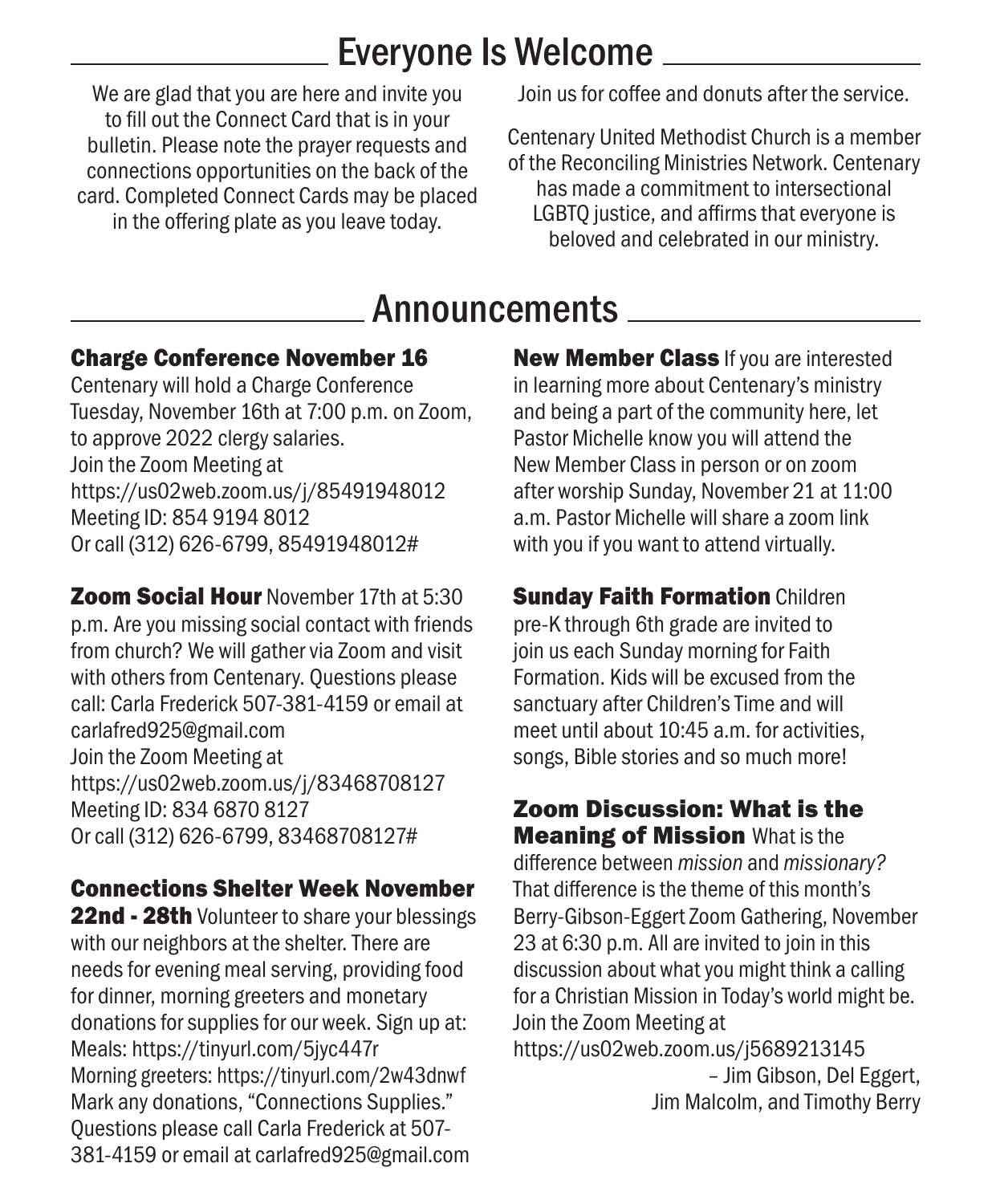### Everyone Is Welcome

We are glad that you are here and invite you to fill out the Connect Card that is in your bulletin. Please note the prayer requests and connections opportunities on the back of the card. Completed Connect Cards may be placed in the offering plate as you leave today.

Join us for coffee and donuts after the service.

Centenary United Methodist Church is a member of the Reconciling Ministries Network. Centenary has made a commitment to intersectional LGBTQ justice, and affirms that everyone is beloved and celebrated in our ministry.

### Announcements

### Charge Conference November 16

Centenary will hold a Charge Conference Tuesday, November 16th at 7:00 p.m. on Zoom, to approve 2022 clergy salaries. Join the Zoom Meeting at https://us02web.zoom.us/j/85491948012 Meeting ID: 854 9194 8012 Or call (312) 626-6799, 85491948012#

**Zoom Social Hour November 17th at 5:30** p.m. Are you missing social contact with friends from church? We will gather via Zoom and visit with others from Centenary. Questions please call: Carla Frederick 507-381-4159 or email at carlafred925@gmail.com Join the Zoom Meeting at https://us02web.zoom.us/j/83468708127 Meeting ID: 834 6870 8127 Or call (312) 626-6799, 83468708127#

### Connections Shelter Week November

22nd - 28th Volunteer to share your blessings with our neighbors at the shelter. There are needs for evening meal serving, providing food for dinner, morning greeters and monetary donations for supplies for our week. Sign up at: Meals: https://tinyurl.com/5jyc447r Morning greeters: https://tinyurl.com/2w43dnwf Mark any donations, "Connections Supplies." Questions please call Carla Frederick at 507- 381-4159 or email at carlafred925@gmail.com

New Member Class If you are interested in learning more about Centenary's ministry and being a part of the community here, let Pastor Michelle know you will attend the New Member Class in person or on zoom after worship Sunday, November 21 at 11:00 a.m. Pastor Michelle will share a zoom link with you if you want to attend virtually.

**Sunday Faith Formation Children** pre-K through 6th grade are invited to join us each Sunday morning for Faith Formation. Kids will be excused from the sanctuary after Children's Time and will meet until about 10:45 a.m. for activities, songs, Bible stories and so much more!

#### Zoom Discussion: What is the **Meaning of Mission What is the** difference between *mission* and *missionary?* That difference is the theme of this month's Berry-Gibson-Eggert Zoom Gathering, November 23 at 6:30 p.m. All are invited to join in this discussion about what you might think a calling for a Christian Mission in Today's world might be. Join the Zoom Meeting at https://us02web.zoom.us/j5689213145 – Jim Gibson, Del Eggert, Jim Malcolm, and Timothy Berry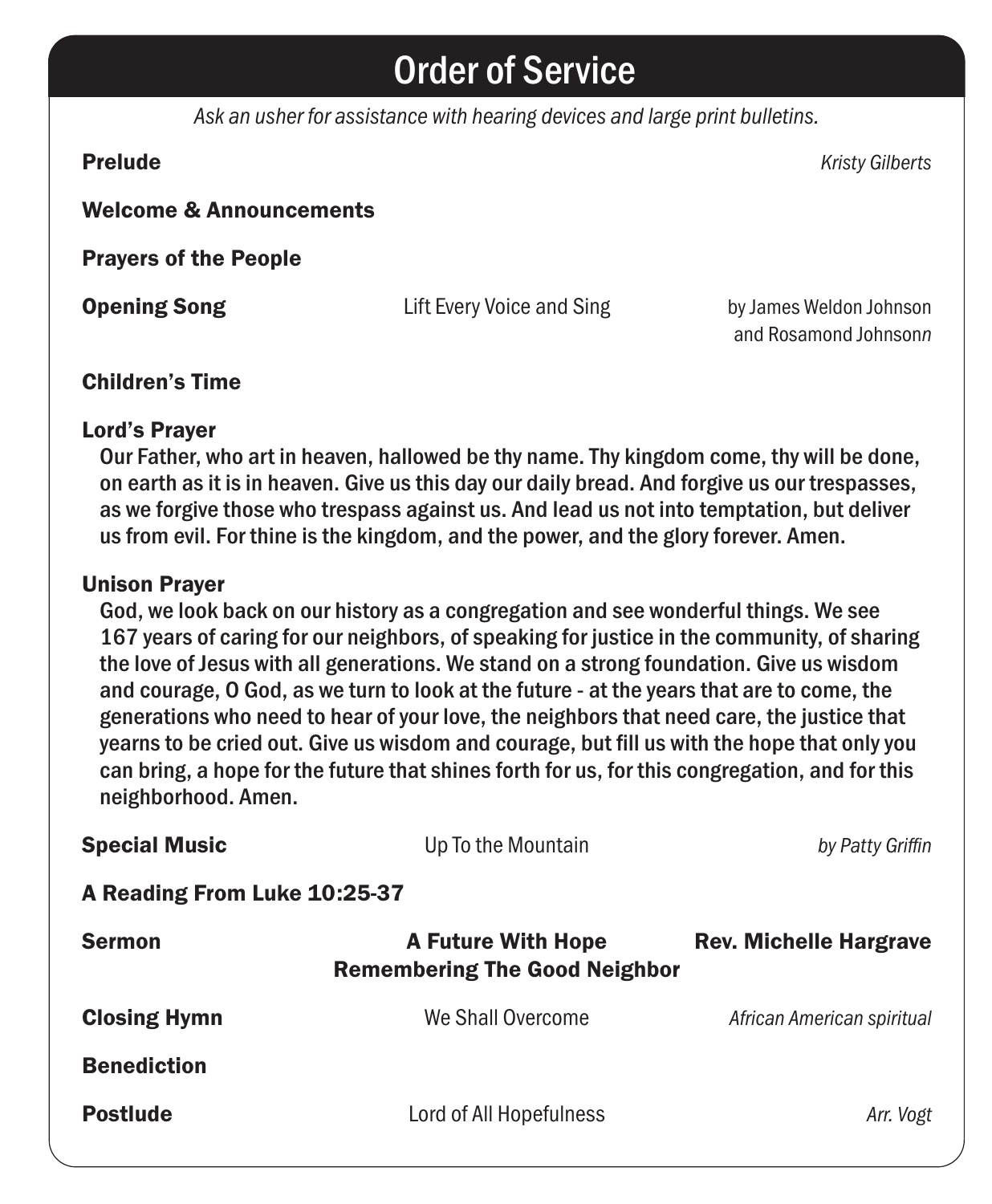### Order of Service

*Ask an usher for assistance with hearing devices and large print bulletins.*

Prelude *Kristy Gilberts* Welcome & Announcements Prayers of the People **Opening Song Lift Every Voice and Sing by James Weldon Johnson** and Rosamond Johnson*n*

#### Children's Time

#### Lord's Prayer

Our Father, who art in heaven, hallowed be thy name. Thy kingdom come, thy will be done, on earth as it is in heaven. Give us this day our daily bread. And forgive us our trespasses, as we forgive those who trespass against us. And lead us not into temptation, but deliver us from evil. For thine is the kingdom, and the power, and the glory forever. Amen.

#### Unison Prayer

God, we look back on our history as a congregation and see wonderful things. We see 167 years of caring for our neighbors, of speaking for justice in the community, of sharing the love of Jesus with all generations. We stand on a strong foundation. Give us wisdom and courage, O God, as we turn to look at the future - at the years that are to come, the generations who need to hear of your love, the neighbors that need care, the justice that yearns to be cried out. Give us wisdom and courage, but fill us with the hope that only you can bring, a hope for the future that shines forth for us, for this congregation, and for this neighborhood. Amen.

| <b>Special Music</b>         | Up To the Mountain                                                | by Patty Griffin              |  |
|------------------------------|-------------------------------------------------------------------|-------------------------------|--|
| A Reading From Luke 10:25-37 |                                                                   |                               |  |
| <b>Sermon</b>                | <b>A Future With Hope</b><br><b>Remembering The Good Neighbor</b> | <b>Rev. Michelle Hargrave</b> |  |
| <b>Closing Hymn</b>          | We Shall Overcome                                                 | African American spiritual    |  |
| <b>Benediction</b>           |                                                                   |                               |  |
| <b>Postlude</b>              | Lord of All Hopefulness                                           | Arr. Vogt                     |  |